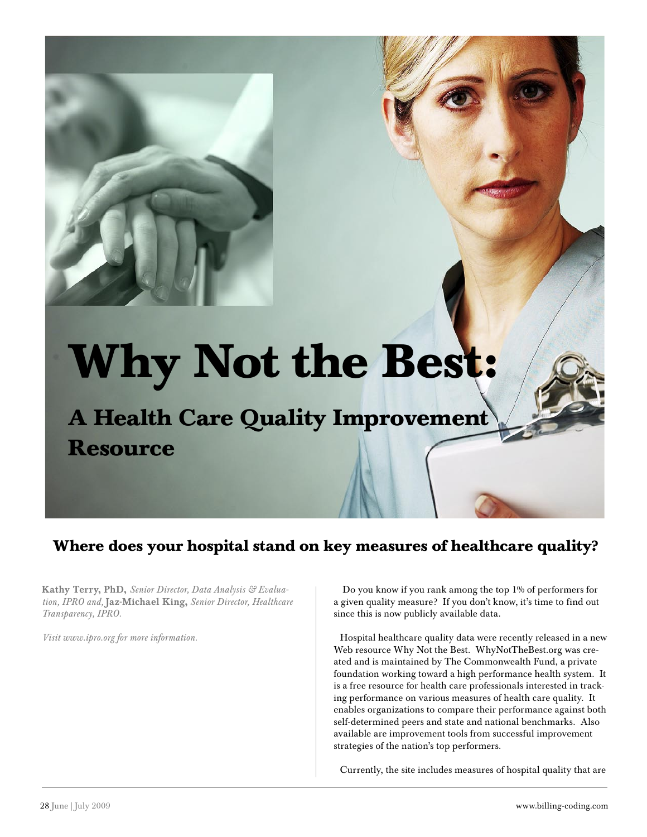# **Why Not the Best:**

**A Health Care Quality Improvement Resource**

### **Where does your hospital stand on key measures of healthcare quality?**

Kathy Terry, PhD, *Senior Director, Data Analysis & Evaluation, IPRO and,* Jaz-Michael King, *Senior Director, Healthcare Transparency, IPRO.*

*Visit www.ipro.org for more information.*

 Do you know if you rank among the top 1% of performers for a given quality measure? If you don't know, it's time to find out since this is now publicly available data.

Hospital healthcare quality data were recently released in a new Web resource Why Not the Best. WhyNotTheBest.org was created and is maintained by The Commonwealth Fund, a private foundation working toward a high performance health system. It is a free resource for health care professionals interested in tracking performance on various measures of health care quality. It enables organizations to compare their performance against both self-determined peers and state and national benchmarks. Also available are improvement tools from successful improvement strategies of the nation's top performers.

Currently, the site includes measures of hospital quality that are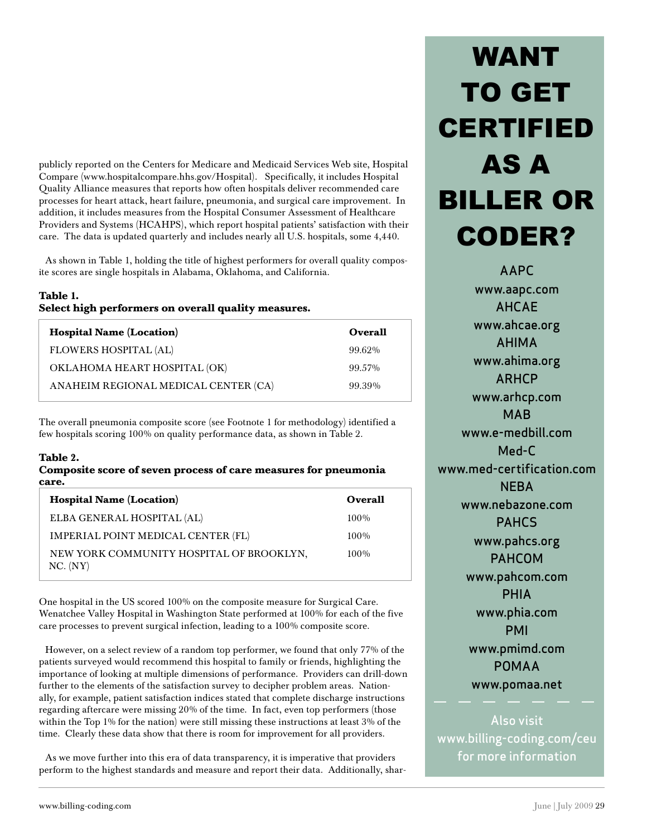publicly reported on the Centers for Medicare and Medicaid Services Web site, Hospital Compare (www.hospitalcompare.hhs.gov/Hospital). Specifically, it includes Hospital Quality Alliance measures that reports how often hospitals deliver recommended care processes for heart attack, heart failure, pneumonia, and surgical care improvement. In addition, it includes measures from the Hospital Consumer Assessment of Healthcare Providers and Systems (HCAHPS), which report hospital patients' satisfaction with their care. The data is updated quarterly and includes nearly all U.S. hospitals, some 4,440.

As shown in Table 1, holding the title of highest performers for overall quality composite scores are single hospitals in Alabama, Oklahoma, and California.

### **Table 1. Select high performers on overall quality measures.**

| <b>Hospital Name (Location)</b>      | Overall |
|--------------------------------------|---------|
| <b>FLOWERS HOSPITAL (AL)</b>         | 99.62%  |
| OKLAHOMA HEART HOSPITAL (OK)         | 99.57%  |
| ANAHEIM REGIONAL MEDICAL CENTER (CA) | 99.39%  |

The overall pneumonia composite score (see Footnote 1 for methodology) identified a few hospitals scoring 100% on quality performance data, as shown in Table 2.

### **Table 2.**

### **Composite score of seven process of care measures for pneumonia care.**

| <b>Hospital Name (Location)</b>                      | <b>Overall</b> |
|------------------------------------------------------|----------------|
| ELBA GENERAL HOSPITAL (AL)                           | $100\%$        |
| IMPERIAL POINT MEDICAL CENTER (FL)                   | $100\%$        |
| NEW YORK COMMUNITY HOSPITAL OF BROOKLYN,<br>NC. (NY) | $100\%$        |

One hospital in the US scored 100% on the composite measure for Surgical Care. Wenatchee Valley Hospital in Washington State performed at 100% for each of the five care processes to prevent surgical infection, leading to a 100% composite score.

However, on a select review of a random top performer, we found that only 77% of the patients surveyed would recommend this hospital to family or friends, highlighting the importance of looking at multiple dimensions of performance. Providers can drill-down further to the elements of the satisfaction survey to decipher problem areas. Nationally, for example, patient satisfaction indices stated that complete discharge instructions regarding aftercare were missing 20% of the time. In fact, even top performers (those within the Top 1% for the nation) were still missing these instructions at least 3% of the time. Clearly these data show that there is room for improvement for all providers.

As we move further into this era of data transparency, it is imperative that providers perform to the highest standards and measure and report their data. Additionally, shar-

## WANT TO GET CERTIFIED AS A BILLER OR CODER?

AAPC www.aapc.com AHCAE www.ahcae.org AHIMA www.ahima.org ARHCP www.arhcp.com MAB www.e-medbill.com Med-C www.med-certification.com **NFRA** www.nebazone.com PAHCS www.pahcs.org PAHCOM www.pahcom.com PHIA www.phia.com PMI www.pmimd.com POMAA www.pomaa.net

Also visit www.billing-coding.com/ceu for more information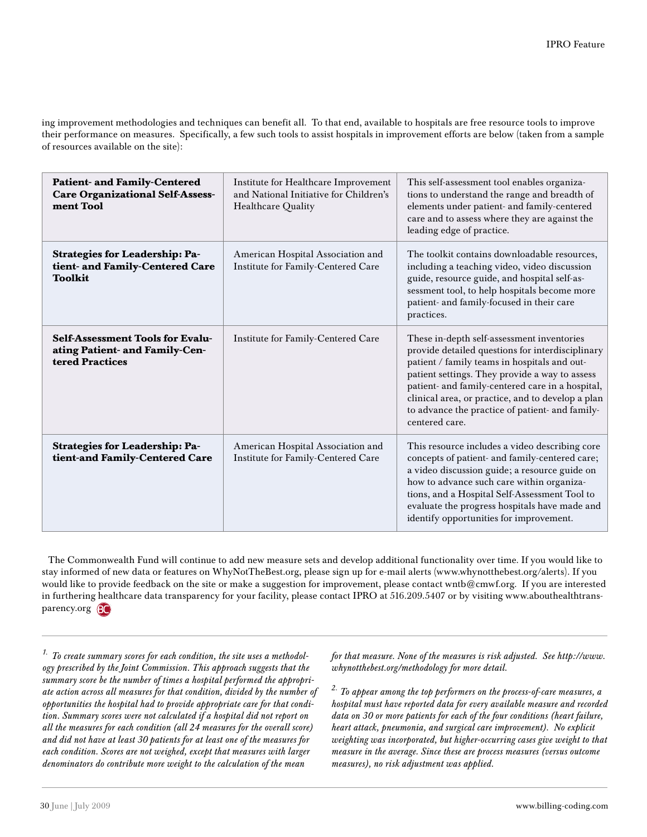ing improvement methodologies and techniques can benefit all. To that end, available to hospitals are free resource tools to improve their performance on measures. Specifically, a few such tools to assist hospitals in improvement efforts are below (taken from a sample of resources available on the site):

| <b>Patient- and Family-Centered</b><br><b>Care Organizational Self-Assess-</b><br>ment Tool  | Institute for Healthcare Improvement<br>and National Initiative for Children's<br>Healthcare Quality | This self-assessment tool enables organiza-<br>tions to understand the range and breadth of<br>elements under patient- and family-centered<br>care and to assess where they are against the<br>leading edge of practice.                                                                                                                                                       |
|----------------------------------------------------------------------------------------------|------------------------------------------------------------------------------------------------------|--------------------------------------------------------------------------------------------------------------------------------------------------------------------------------------------------------------------------------------------------------------------------------------------------------------------------------------------------------------------------------|
| <b>Strategies for Leadership: Pa-</b><br>tient- and Family-Centered Care<br><b>Toolkit</b>   | American Hospital Association and<br>Institute for Family-Centered Care                              | The toolkit contains downloadable resources,<br>including a teaching video, video discussion<br>guide, resource guide, and hospital self-as-<br>sessment tool, to help hospitals become more<br>patient- and family-focused in their care<br>practices.                                                                                                                        |
| <b>Self-Assessment Tools for Evalu-</b><br>ating Patient- and Family-Cen-<br>tered Practices | Institute for Family-Centered Care                                                                   | These in-depth self-assessment inventories<br>provide detailed questions for interdisciplinary<br>patient / family teams in hospitals and out-<br>patient settings. They provide a way to assess<br>patient- and family-centered care in a hospital,<br>clinical area, or practice, and to develop a plan<br>to advance the practice of patient- and family-<br>centered care. |
| <b>Strategies for Leadership: Pa-</b><br>tient-and Family-Centered Care                      | American Hospital Association and<br>Institute for Family-Centered Care                              | This resource includes a video describing core<br>concepts of patient- and family-centered care;<br>a video discussion guide; a resource guide on<br>how to advance such care within organiza-<br>tions, and a Hospital Self-Assessment Tool to<br>evaluate the progress hospitals have made and<br>identify opportunities for improvement.                                    |

The Commonwealth Fund will continue to add new measure sets and develop additional functionality over time. If you would like to stay informed of new data or features on WhyNotTheBest.org, please sign up for e-mail alerts (www.whynotthebest.org/alerts). If you would like to provide feedback on the site or make a suggestion for improvement, please contact wntb@cmwf.org. If you are interested in furthering healthcare data transparency for your facility, please contact IPRO at 516.209.5407 or by visiting www.abouthealthtransparency.org **BC** 

*1. To create summary scores for each condition, the site uses a methodology prescribed by the Joint Commission. This approach suggests that the summary score be the number of times a hospital performed the appropriate action across all measures for that condition, divided by the number of opportunities the hospital had to provide appropriate care for that condition. Summary scores were not calculated if a hospital did not report on all the measures for each condition (all 24 measures for the overall score) and did not have at least 30 patients for at least one of the measures for each condition. Scores are not weighed, except that measures with larger denominators do contribute more weight to the calculation of the mean* 

*for that measure. None of the measures is risk adjusted. See http://www. whynotthebest.org/methodology for more detail.*

*2. To appear among the top performers on the process-of-care measures, a hospital must have reported data for every available measure and recorded data on 30 or more patients for each of the four conditions (heart failure, heart attack, pneumonia, and surgical care improvement). No explicit weighting was incorporated, but higher-occurring cases give weight to that measure in the average. Since these are process measures (versus outcome measures), no risk adjustment was applied.*